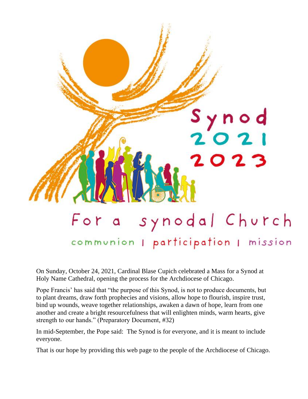

On Sunday, October 24, 2021, Cardinal Blase Cupich celebrated a Mass for a Synod at Holy Name Cathedral, opening the process for the Archdiocese of Chicago.

Pope Francis' has said that "the purpose of this Synod, is not to produce documents, but to plant dreams, draw forth prophecies and visions, allow hope to flourish, inspire trust, bind up wounds, weave together relationships, awaken a dawn of hope, learn from one another and create a bright resourcefulness that will enlighten minds, warm hearts, give strength to our hands." (Preparatory Document, #32)

In mid-September, the Pope said: The Synod is for everyone, and it is meant to include everyone.

That is our hope by providing this web page to the people of the Archdiocese of Chicago.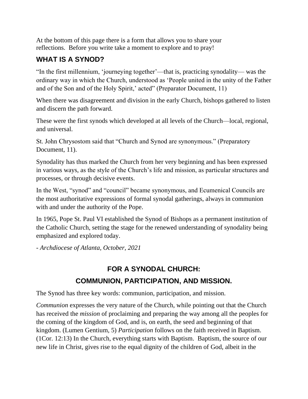At the bottom of this page there is a form that allows you to share your reflections. Before you write take a moment to explore and to pray!

## **WHAT IS A SYNOD?**

"In the first millennium, 'journeying together'—that is, practicing synodality— was the ordinary way in which the Church, understood as 'People united in the unity of the Father and of the Son and of the Holy Spirit,' acted" (Preparator Document, 11)

When there was disagreement and division in the early Church, bishops gathered to listen and discern the path forward.

These were the first synods which developed at all levels of the Church—local, regional, and universal.

St. John Chrysostom said that "Church and Synod are synonymous." (Preparatory Document, 11).

Synodality has thus marked the Church from her very beginning and has been expressed in various ways, as the style of the Church's life and mission, as particular structures and processes, or through decisive events.

In the West, "synod" and "council" became synonymous, and Ecumenical Councils are the most authoritative expressions of formal synodal gatherings, always in communion with and under the authority of the Pope.

In 1965, Pope St. Paul VI established the Synod of Bishops as a permanent institution of the Catholic Church, setting the stage for the renewed understanding of synodality being emphasized and explored today.

*- Archdiocese of Atlanta, October, 2021*

## **FOR A SYNODAL CHURCH: COMMUNION, PARTICIPATION, AND MISSION.**

The Synod has three key words: communion, participation, and mission.

*Communion* expresses the very nature of the Church, while pointing out that the Church has received the *mission* of proclaiming and preparing the way among all the peoples for the coming of the kingdom of God, and is, on earth, the seed and beginning of that kingdom. (Lumen Gentium, 5) *Participation* follows on the faith received in Baptism. (1Cor. 12:13) In the Church, everything starts with Baptism. Baptism, the source of our new life in Christ, gives rise to the equal dignity of the children of God, albeit in the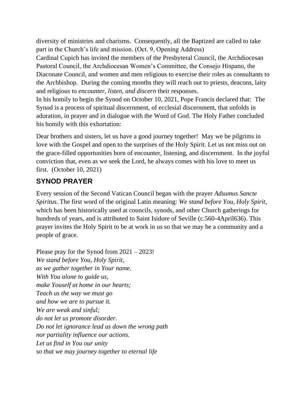diversity of ministries and charisms. Consequently, all the Baptized are called to take part in the Church's life and mission. (Oct. 9, Opening Address)

Cardinal Cupich has invited the members of the Presbyteral Council, the Archdiocesan Pastoral Council, the Archdiocesan Women's Committee, the Consejo Hispano, the Diaconate Council, and women and men religious to exercise their roles as consultants to the Archbishop. During the coming months they will reach out to priests, deacons, laity and religious to *encounter, listen, and discern* their responses.

In his homily to begin the Synod on October 10, 2021, Pope Francis declared that: The Synod is a process of spiritual discernment, of ecclesial discernment, that unfolds in adoration, in prayer and in dialogue with the Word of God. The Holy Father concluded his homily with this exhortation:

Dear brothers and sisters, let us have a good journey together! May we be pilgrims in love with the Gospel and open to the surprises of the Holy Spirit. Let us not miss out on the grace-filled opportunities born of encounter, listening, and discernment. In the joyful conviction that, even as we seek the Lord, he always comes with his love to meet us first. (October 10, 2021)

### **SYNOD PRAYER**

Every session of the Second Vatican Council began with the prayer *Adsumus Sancte Spiritus*. The first word of the original Latin meaning: *We stand before You, Holy Spirit*, which has been historically used at councils, synods, and other Church gatherings for hundreds of years, and is attributed to Saint Isidore of Seville (c.560-4April636). This prayer invites the Holy Spirit to be at work in us so that we may be a community and a people of grace.

Please pray for the Synod from  $2021 - 2023!$ *We stand before You, Holy Spirit, as we gather together in Your name. With You alone to guide us, make Youself at home in our hearts; Teach us the way we must go and how we are to pursue it. We are weak and sinful; do not let us promote disorder. Do not let ignorance lead us down the wrong path nor partiality influence our actions. Let us find in You our unity so that we may journey together to eternal life*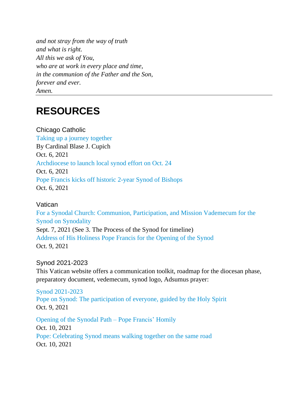*and not stray from the way of truth and what is right. All this we ask of You, who are at work in every place and time, in the communion of the Father and the Son, forever and ever. Amen.*

# **RESOURCES**

Chicago Catholic Taking up a journey [together](https://www.chicagocatholic.com/cardinal-blase-j.-cupich/-/article/2021/10/06/taking-up-a-journey-together) By Cardinal Blase J. Cupich Oct. 6, 2021 [Archdiocese](https://www.chicagocatholic.com/chicagoland/-/article/2021/10/06/archdiocese-to-launch-local-synod-effort-on-oct-24) to launch local synod effort on Oct. 24 Oct. 6, 2021 Pope Francis kicks off historic 2-year Synod of [Bishops](https://www.chicagocatholic.com/vatican/-/article/2021/10/06/pope-francis-kicks-off-historic-2-year-synod-of-bishops) Oct. 6, 2021

#### Vatican

For a Synodal Church: Communion, [Participation,](https://press.vatican.va/content/salastampa/it/bollettino/pubblico/2021/09/07/0541/01166.html#themain) and Mission Vademecum for the Synod on [Synodality](https://press.vatican.va/content/salastampa/it/bollettino/pubblico/2021/09/07/0541/01166.html#themain) Sept. 7, 2021 (See 3. The Process of the Synod for timeline) Address of His [Holiness](https://www.vatican.va/content/francesco/en/speeches/2021/october/documents/20211009-apertura-camminosinodale.html) Pope Francis for the Opening of the Synod Oct. 9, 2021

#### Synod 2021-2023

This Vatican website offers a communication toolkit, roadmap for the diocesan phase, preparatory document, vedemecum, synod logo, Adsumus prayer:

#### Synod [2021-2023](https://www.synod.va/en.html)

Pope on Synod: The [participation](https://www.vaticannews.va/en/pope/news/2021-10/pope-francis-discourse-moment-reflection-eve-inauguration-synod.html) of everyone, guided by the Holy Spirit Oct. 9, 2021

[Opening](https://www.vatican.va/content/francesco/en/homilies/2021/documents/20211010-omelia-sinodo-vescovi.html) of the Synodal Path – Pope Francis' Homily Oct. 10, 2021 Pope: [Celebrating](https://www.vaticannews.va/en/pope/news/2021-10/pope-celebrating-synod-means-walking-together-on-the-same-road.html) Synod means walking together on the same road Oct. 10, 2021